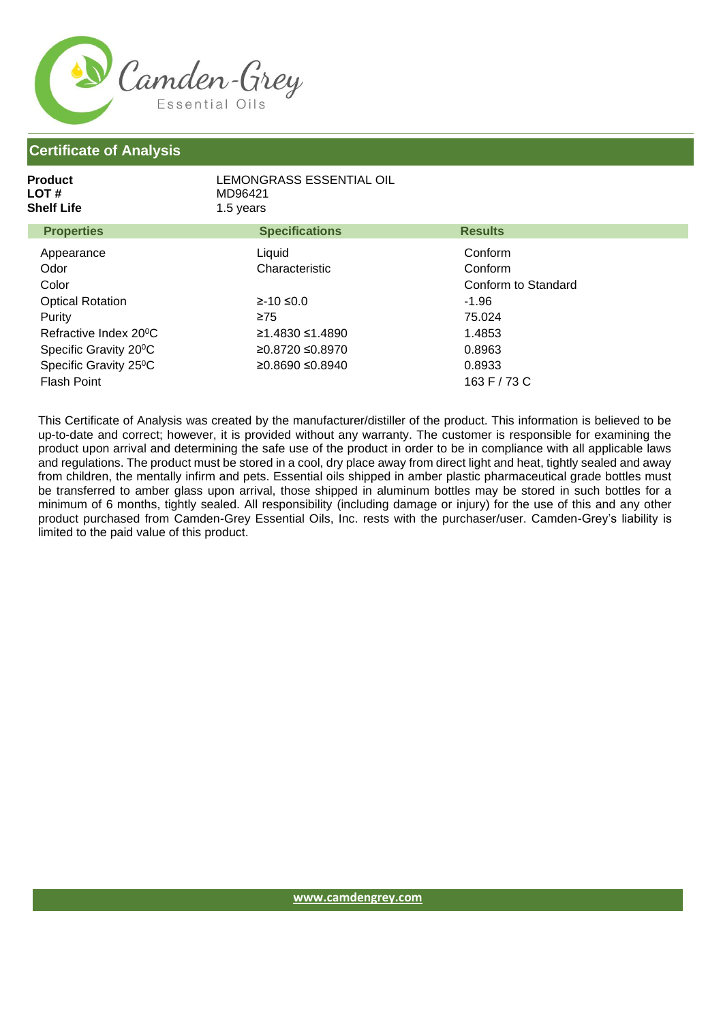

| <b>Product</b><br>LOT #<br><b>Shelf Life</b> | LEMONGRASS ESSENTIAL OIL<br>MD96421<br>1.5 years |                     |
|----------------------------------------------|--------------------------------------------------|---------------------|
| <b>Properties</b>                            | <b>Specifications</b>                            | <b>Results</b>      |
| Appearance                                   | Liquid                                           | Conform             |
| Odor                                         | Characteristic                                   | Conform             |
| Color                                        |                                                  | Conform to Standard |
| <b>Optical Rotation</b>                      | $≥-10 ≤0.0$                                      | $-1.96$             |
| Purity                                       | $\geq 75$                                        | 75.024              |
| Refractive Index 20 <sup>°</sup> C           | ≥1.4830 ≤1.4890                                  | 1.4853              |
| Specific Gravity 20 <sup>°</sup> C           | ≥0.8720 ≤0.8970                                  | 0.8963              |
| Specific Gravity 25°C                        | ≥0.8690 ≤0.8940                                  | 0.8933              |
| <b>Flash Point</b>                           |                                                  | 163 F / 73 C        |

This Certificate of Analysis was created by the manufacturer/distiller of the product. This information is believed to be up-to-date and correct; however, it is provided without any warranty. The customer is responsible for examining the product upon arrival and determining the safe use of the product in order to be in compliance with all applicable laws and regulations. The product must be stored in a cool, dry place away from direct light and heat, tightly sealed and away from children, the mentally infirm and pets. Essential oils shipped in amber plastic pharmaceutical grade bottles must be transferred to amber glass upon arrival, those shipped in aluminum bottles may be stored in such bottles for a minimum of 6 months, tightly sealed. All responsibility (including damage or injury) for the use of this and any other product purchased from Camden-Grey Essential Oils, Inc. rests with the purchaser/user. Camden-Grey's liability is limited to the paid value of this product.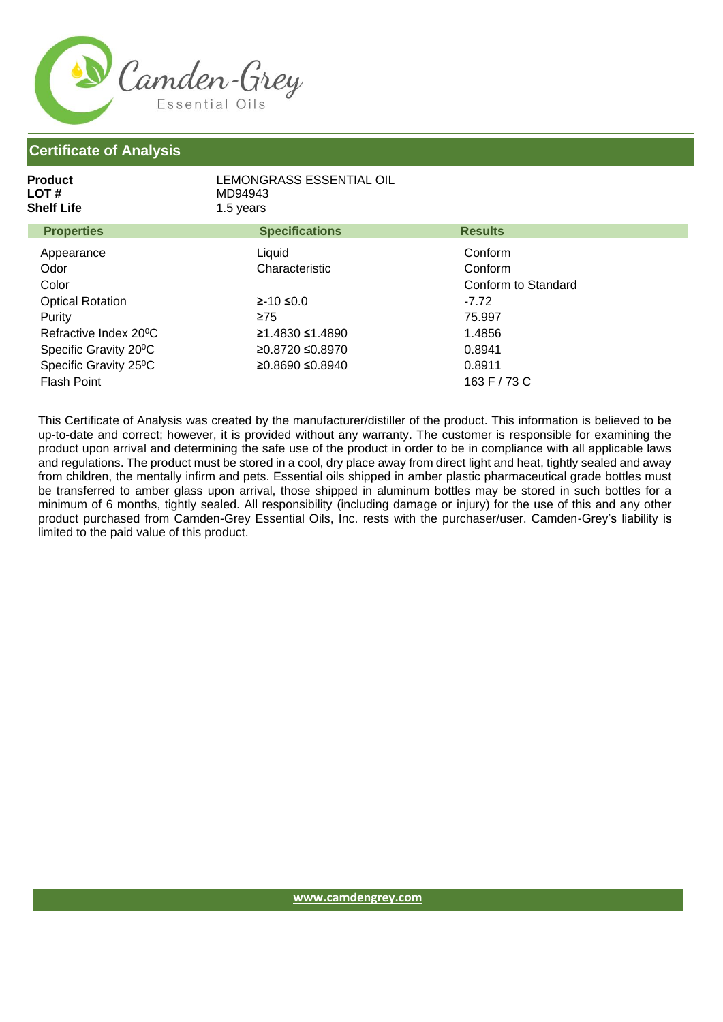

| Product<br>LOT #<br><b>Shelf Life</b> | LEMONGRASS ESSENTIAL OIL<br>MD94943<br>1.5 years |                     |
|---------------------------------------|--------------------------------------------------|---------------------|
| <b>Properties</b>                     | <b>Specifications</b>                            | <b>Results</b>      |
| Appearance                            | Liquid                                           | Conform             |
| Odor                                  | Characteristic                                   | Conform             |
| Color                                 |                                                  | Conform to Standard |
| <b>Optical Rotation</b>               | $≥-10 ≤0.0$                                      | $-7.72$             |
| Purity                                | $\geq 75$                                        | 75.997              |
| Refractive Index 20 <sup>°</sup> C    | ≥1.4830 ≤1.4890                                  | 1.4856              |
| Specific Gravity 20 <sup>°</sup> C    | ≥0.8720 ≤0.8970                                  | 0.8941              |
| Specific Gravity 25°C                 | ≥0.8690 ≤0.8940                                  | 0.8911              |
| <b>Flash Point</b>                    |                                                  | 163 F / 73 C        |

This Certificate of Analysis was created by the manufacturer/distiller of the product. This information is believed to be up-to-date and correct; however, it is provided without any warranty. The customer is responsible for examining the product upon arrival and determining the safe use of the product in order to be in compliance with all applicable laws and regulations. The product must be stored in a cool, dry place away from direct light and heat, tightly sealed and away from children, the mentally infirm and pets. Essential oils shipped in amber plastic pharmaceutical grade bottles must be transferred to amber glass upon arrival, those shipped in aluminum bottles may be stored in such bottles for a minimum of 6 months, tightly sealed. All responsibility (including damage or injury) for the use of this and any other product purchased from Camden-Grey Essential Oils, Inc. rests with the purchaser/user. Camden-Grey's liability is limited to the paid value of this product.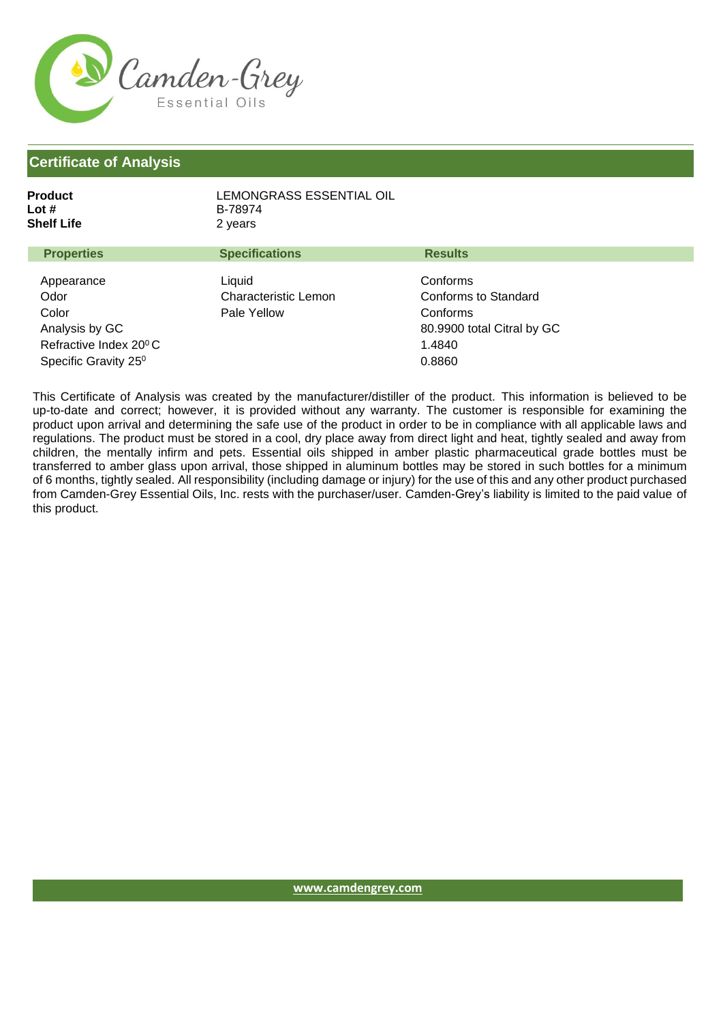

| Product<br>Lot #<br>Shelf Life                                                                                          | LEMONGRASS ESSENTIAL OIL<br>B-78974<br>2 years |                                                                                                |
|-------------------------------------------------------------------------------------------------------------------------|------------------------------------------------|------------------------------------------------------------------------------------------------|
| <b>Properties</b>                                                                                                       | <b>Specifications</b>                          | <b>Results</b>                                                                                 |
| Appearance<br>Odor<br>Color<br>Analysis by GC<br>Refractive Index 20 <sup>°</sup> C<br>Specific Gravity 25 <sup>0</sup> | Liquid<br>Characteristic Lemon<br>Pale Yellow  | Conforms<br>Conforms to Standard<br>Conforms<br>80.9900 total Citral by GC<br>1.4840<br>0.8860 |

This Certificate of Analysis was created by the manufacturer/distiller of the product. This information is believed to be up-to-date and correct; however, it is provided without any warranty. The customer is responsible for examining the product upon arrival and determining the safe use of the product in order to be in compliance with all applicable laws and regulations. The product must be stored in a cool, dry place away from direct light and heat, tightly sealed and away from children, the mentally infirm and pets. Essential oils shipped in amber plastic pharmaceutical grade bottles must be transferred to amber glass upon arrival, those shipped in aluminum bottles may be stored in such bottles for a minimum of 6 months, tightly sealed. All responsibility (including damage or injury) for the use of this and any other product purchased from Camden-Grey Essential Oils, Inc. rests with the purchaser/user. Camden-Grey's liability is limited to the paid value of this product.